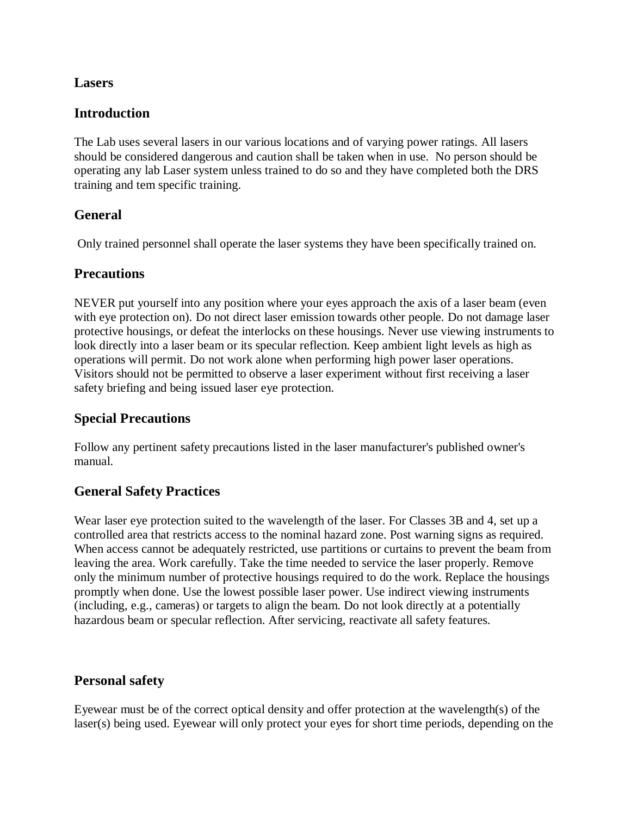#### **Lasers**

## **Introduction**

The Lab uses several lasers in our various locations and of varying power ratings. All lasers should be considered dangerous and caution shall be taken when in use. No person should be operating any lab Laser system unless trained to do so and they have completed both the DRS training and tem specific training.

## **General**

Only trained personnel shall operate the laser systems they have been specifically trained on.

## **Precautions**

NEVER put yourself into any position where your eyes approach the axis of a laser beam (even with eye protection on). Do not direct laser emission towards other people. Do not damage laser protective housings, or defeat the interlocks on these housings. Never use viewing instruments to look directly into a laser beam or its specular reflection. Keep ambient light levels as high as operations will permit. Do not work alone when performing high power laser operations. Visitors should not be permitted to observe a laser experiment without first receiving a laser safety briefing and being issued laser eye protection.

## **Special Precautions**

Follow any pertinent safety precautions listed in the laser manufacturer's published owner's manual.

# **General Safety Practices**

Wear laser eye protection suited to the wavelength of the laser. For Classes 3B and 4, set up a controlled area that restricts access to the nominal hazard zone. Post warning signs as required. When access cannot be adequately restricted, use partitions or curtains to prevent the beam from leaving the area. Work carefully. Take the time needed to service the laser properly. Remove only the minimum number of protective housings required to do the work. Replace the housings promptly when done. Use the lowest possible laser power. Use indirect viewing instruments (including, e.g., cameras) or targets to align the beam. Do not look directly at a potentially hazardous beam or specular reflection. After servicing, reactivate all safety features.

## **Personal safety**

Eyewear must be of the correct optical density and offer protection at the wavelength(s) of the laser(s) being used. Eyewear will only protect your eyes for short time periods, depending on the